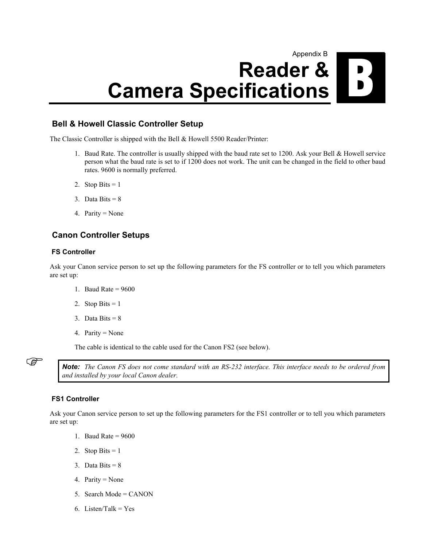# Appendix B **Reader & Camera Specifications**

## **Bell & Howell Classic Controller Setup**

The Classic Controller is shipped with the Bell & Howell 5500 Reader/Printer:

- 1. Baud Rate. The controller is usually shipped with the baud rate set to 1200. Ask your Bell & Howell service person what the baud rate is set to if 1200 does not work. The unit can be changed in the field to other baud rates. 9600 is normally preferred.
- 2. Stop Bits  $= 1$
- 3. Data Bits =  $8$
- 4. Parity = None

## **Canon Controller Setups**

#### **FS Controller**

Ask your Canon service person to set up the following parameters for the FS controller or to tell you which parameters are set up:

- 1. Baud Rate =  $9600$
- 2. Stop Bits  $= 1$
- 3. Data Bits =  $8$
- 4. Parity = None

The cable is identical to the cable used for the Canon FS2 (see below).

) *Note: The Canon FS does not come standard with an RS-232 interface. This interface needs to be ordered from and installed by your local Canon dealer.* 

#### **FS1 Controller**

Ask your Canon service person to set up the following parameters for the FS1 controller or to tell you which parameters are set up:

- 1. Baud Rate =  $9600$
- 2. Stop Bits  $= 1$
- 3. Data Bits  $= 8$
- 4. Parity = None
- 5. Search Mode = CANON
- 6. Listen/Talk = Yes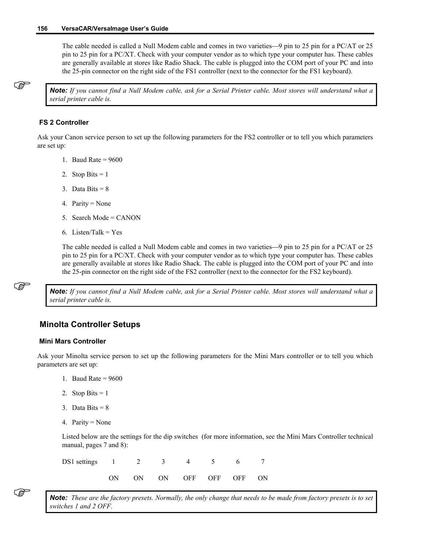#### **156 VersaCAR/VersaImage User's Guide**

The cable needed is called a Null Modem cable and comes in two varieties—9 pin to 25 pin for a PC/AT or 25 pin to 25 pin for a PC/XT. Check with your computer vendor as to which type your computer has. These cables are generally available at stores like Radio Shack. The cable is plugged into the COM port of your PC and into the 25-pin connector on the right side of the FS1 controller (next to the connector for the FS1 keyboard).

) *Note: If you cannot find a Null Modem cable, ask for a Serial Printer cable. Most stores will understand what a serial printer cable is.* 

#### **FS 2 Controller**

Ask your Canon service person to set up the following parameters for the FS2 controller or to tell you which parameters are set up:

- 1. Baud Rate =  $9600$
- 2. Stop Bits  $= 1$
- 3. Data Bits  $= 8$
- 4. Parity = None
- 5. Search Mode = CANON
- 6. Listen/Talk = Yes

The cable needed is called a Null Modem cable and comes in two varieties—9 pin to 25 pin for a PC/AT or 25 pin to 25 pin for a PC/XT. Check with your computer vendor as to which type your computer has. These cables are generally available at stores like Radio Shack. The cable is plugged into the COM port of your PC and into the 25-pin connector on the right side of the FS2 controller (next to the connector for the FS2 keyboard).

) *Note: If you cannot find a Null Modem cable, ask for a Serial Printer cable. Most stores will understand what a serial printer cable is.* 

## **Minolta Controller Setups**

#### **Mini Mars Controller**

Ask your Minolta service person to set up the following parameters for the Mini Mars controller or to tell you which parameters are set up:

- 1. Baud Rate =  $9600$
- 2. Stop Bits  $= 1$
- 3. Data Bits  $= 8$
- 4. Parity = None

Listed below are the settings for the dip switches (for more information, see the Mini Mars Controller technical manual, pages 7 and 8):

| DS1 settings 1 2 3 4 5 6 7 |  |                         |  |  |
|----------------------------|--|-------------------------|--|--|
|                            |  | ON ON ON OFF OFF OFF ON |  |  |

) *Note: These are the factory presets. Normally, the only change that needs to be made from factory presets is to set switches 1 and 2 OFF.*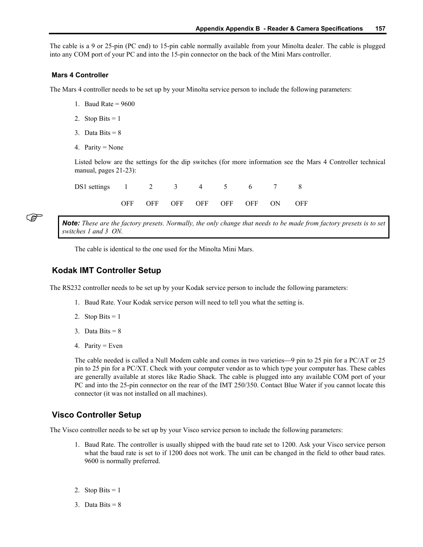The cable is a 9 or 25-pin (PC end) to 15-pin cable normally available from your Minolta dealer. The cable is plugged into any COM port of your PC and into the 15-pin connector on the back of the Mini Mars controller.

#### **Mars 4 Controller**

The Mars 4 controller needs to be set up by your Minolta service person to include the following parameters:

- 1. Baud Rate  $= 9600$
- 2. Stop Bits  $= 1$
- 3. Data Bits =  $8$
- 4. Parity = None

Listed below are the settings for the dip switches (for more information see the Mars 4 Controller technical manual, pages 21-23):

| DS1 settings 1 2 3 4 5 6 7 8 |  |                                |  |  |
|------------------------------|--|--------------------------------|--|--|
|                              |  | OFF OFF OFF OFF OFF OFF ON OFF |  |  |

) *Note: These are the factory presets. Normally, the only change that needs to be made from factory presets is to set switches 1 and 3 ON.* 

The cable is identical to the one used for the Minolta Mini Mars.

## **Kodak IMT Controller Setup**

The RS232 controller needs to be set up by your Kodak service person to include the following parameters:

- 1. Baud Rate. Your Kodak service person will need to tell you what the setting is.
- 2. Stop Bits  $= 1$
- 3. Data Bits  $= 8$
- 4. Parity = Even

The cable needed is called a Null Modem cable and comes in two varieties—9 pin to 25 pin for a PC/AT or 25 pin to 25 pin for a PC/XT. Check with your computer vendor as to which type your computer has. These cables are generally available at stores like Radio Shack. The cable is plugged into any available COM port of your PC and into the 25-pin connector on the rear of the IMT 250/350. Contact Blue Water if you cannot locate this connector (it was not installed on all machines).

## **Visco Controller Setup**

The Visco controller needs to be set up by your Visco service person to include the following parameters:

- 1. Baud Rate. The controller is usually shipped with the baud rate set to 1200. Ask your Visco service person what the baud rate is set to if 1200 does not work. The unit can be changed in the field to other baud rates. 9600 is normally preferred.
- 2. Stop Bits  $= 1$
- 3. Data Bits  $= 8$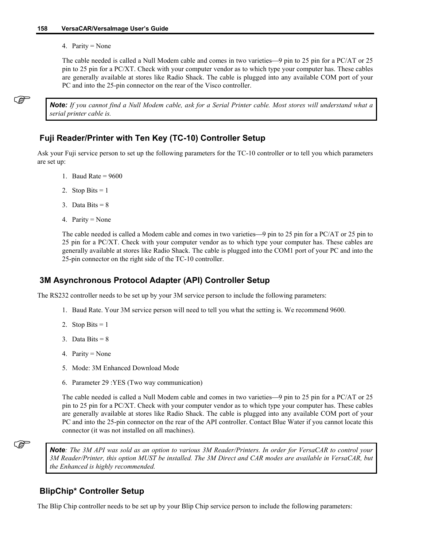4. Parity = None

The cable needed is called a Null Modem cable and comes in two varieties—9 pin to 25 pin for a  $PC/AT$  or 25 pin to 25 pin for a PC/XT. Check with your computer vendor as to which type your computer has. These cables are generally available at stores like Radio Shack. The cable is plugged into any available COM port of your PC and into the 25-pin connector on the rear of the Visco controller.

) *Note: If you cannot find a Null Modem cable, ask for a Serial Printer cable. Most stores will understand what a serial printer cable is.* 

## **Fuji Reader/Printer with Ten Key (TC-10) Controller Setup**

Ask your Fuji service person to set up the following parameters for the TC-10 controller or to tell you which parameters are set up:

- 1. Baud Rate =  $9600$
- 2. Stop Bits  $= 1$
- 3. Data Bits  $= 8$
- 4. Parity = None

The cable needed is called a Modem cable and comes in two varieties—9 pin to 25 pin for a PC/AT or 25 pin to 25 pin for a PC/XT. Check with your computer vendor as to which type your computer has. These cables are generally available at stores like Radio Shack. The cable is plugged into the COM1 port of your PC and into the 25-pin connector on the right side of the TC-10 controller.

## **3M Asynchronous Protocol Adapter (API) Controller Setup**

The RS232 controller needs to be set up by your 3M service person to include the following parameters:

- 1. Baud Rate. Your 3M service person will need to tell you what the setting is. We recommend 9600.
- 2. Stop Bits  $= 1$
- 3. Data Bits  $= 8$
- 4. Parity = None
- 5. Mode: 3M Enhanced Download Mode
- 6. Parameter 29 :YES (Two way communication)

The cable needed is called a Null Modem cable and comes in two varieties—9 pin to 25 pin for a PC/AT or 25 pin to 25 pin for a PC/XT. Check with your computer vendor as to which type your computer has. These cables are generally available at stores like Radio Shack. The cable is plugged into any available COM port of your PC and into the 25-pin connector on the rear of the API controller. Contact Blue Water if you cannot locate this connector (it was not installed on all machines).

) *Note: The 3M API was sold as an option to various 3M Reader/Printers. In order for VersaCAR to control your 3M Reader/Printer, this option MUST be installed. The 3M Direct and CAR modes are available in VersaCAR, but the Enhanced is highly recommended.* 

### **BlipChip\* Controller Setup**

The Blip Chip controller needs to be set up by your Blip Chip service person to include the following parameters: